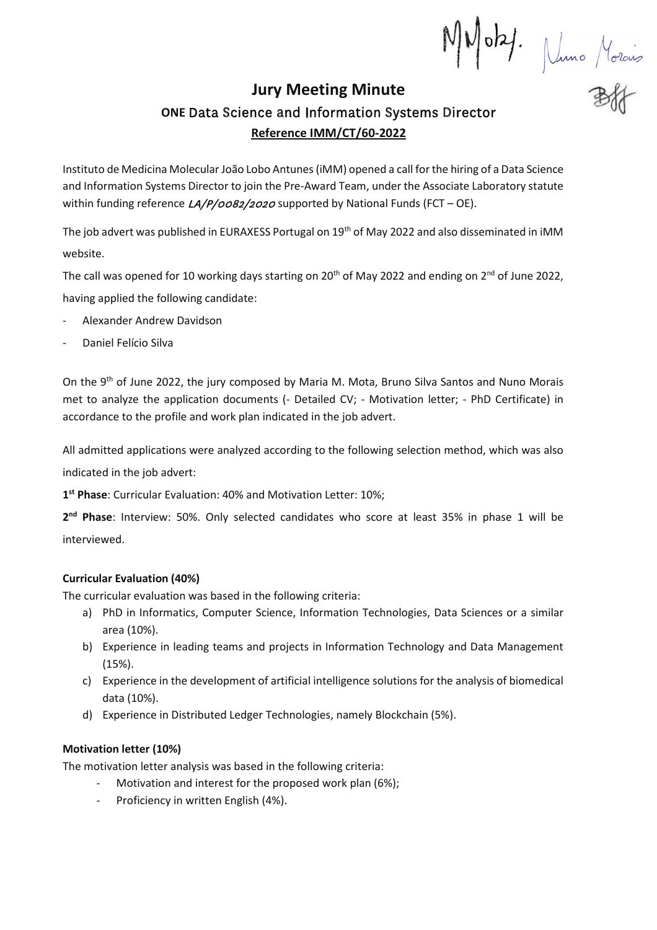MMoby. Nuno Morais

# **Jury Meeting Minute** ONE Data Science and Information Systems Director Reference IMM/CT/60-2022

Instituto de Medicina Molecular João Lobo Antunes (iMM) opened a call for the hiring of a Data Science and Information Systems Director to join the Pre-Award Team, under the Associate Laboratory statute within funding reference  $LA/P/0082/2020$  supported by National Funds (FCT - OE).

The job advert was published in EURAXESS Portugal on 19<sup>th</sup> of May 2022 and also disseminated in iMM website.

The call was opened for 10 working days starting on  $20^{th}$  of May 2022 and ending on  $2^{nd}$  of June 2022. having applied the following candidate:

- Alexander Andrew Davidson
- Daniel Felício Silva

On the 9th of June 2022, the jury composed by Maria M. Mota, Bruno Silva Santos and Nuno Morais met to analyze the application documents (- Detailed CV; - Motivation letter; - PhD Certificate) in accordance to the profile and work plan indicated in the job advert.

All admitted applications were analyzed according to the following selection method, which was also indicated in the job advert:

1st Phase: Curricular Evaluation: 40% and Motivation Letter: 10%;

2<sup>nd</sup> Phase: Interview: 50%. Only selected candidates who score at least 35% in phase 1 will be interviewed.

## **Curricular Evaluation (40%)**

The curricular evaluation was based in the following criteria:

- a) PhD in Informatics, Computer Science, Information Technologies, Data Sciences or a similar area (10%).
- b) Experience in leading teams and projects in Information Technology and Data Management  $(15%)$ .
- c) Experience in the development of artificial intelligence solutions for the analysis of biomedical data (10%).
- d) Experience in Distributed Ledger Technologies, namely Blockchain (5%).

# Motivation letter (10%)

The motivation letter analysis was based in the following criteria:

- Motivation and interest for the proposed work plan (6%);
- Proficiency in written English (4%).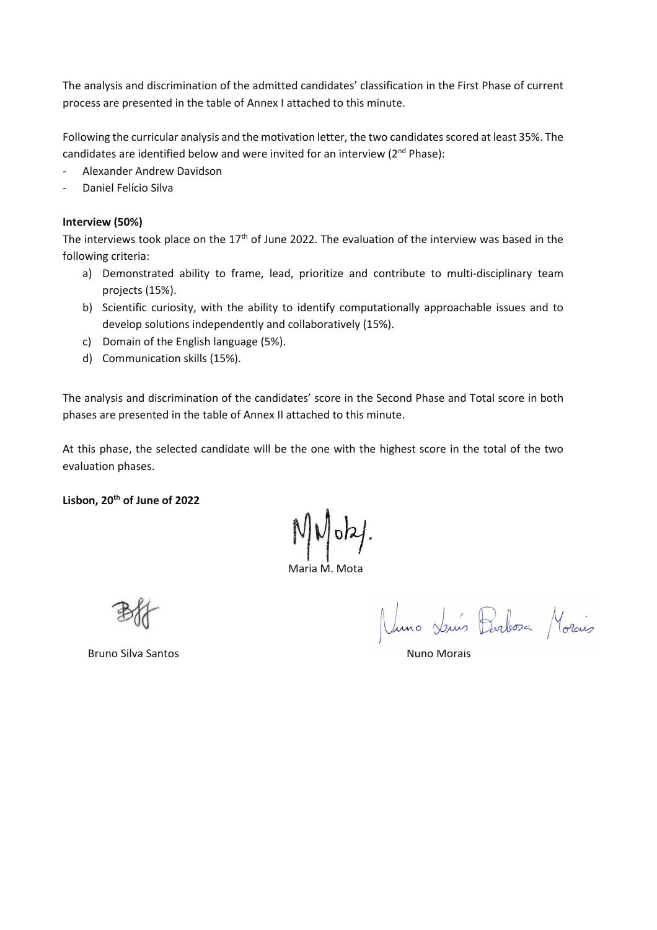The analysis and discrimination of the admitted candidates' classification in the First Phase of current process are presented in the table of Annex I attached to this minute.

Following the curricular analysis and the motivation letter, the two candidates scored at least 35%. The candidates are identified below and were invited for an interview (2<sup>nd</sup> Phase):

- Alexander Andrew Davidson  $\overline{a}$
- Daniel Felício Silva

### Interview (50%)

The interviews took place on the  $17<sup>th</sup>$  of June 2022. The evaluation of the interview was based in the following criteria:

- a) Demonstrated ability to frame, lead, prioritize and contribute to multi-disciplinary team projects (15%).
- b) Scientific curiosity, with the ability to identify computationally approachable issues and to develop solutions independently and collaboratively (15%).
- c) Domain of the English language (5%).
- d) Communication skills (15%).

The analysis and discrimination of the candidates' score in the Second Phase and Total score in both phases are presented in the table of Annex II attached to this minute.

At this phase, the selected candidate will be the one with the highest score in the total of the two evaluation phases.

Lisbon, 20<sup>th</sup> of June of 2022

 $N/V$  oky.

Maria M Mota

Nuno Luís Barbosa Morcio

**Bruno Silva Santos**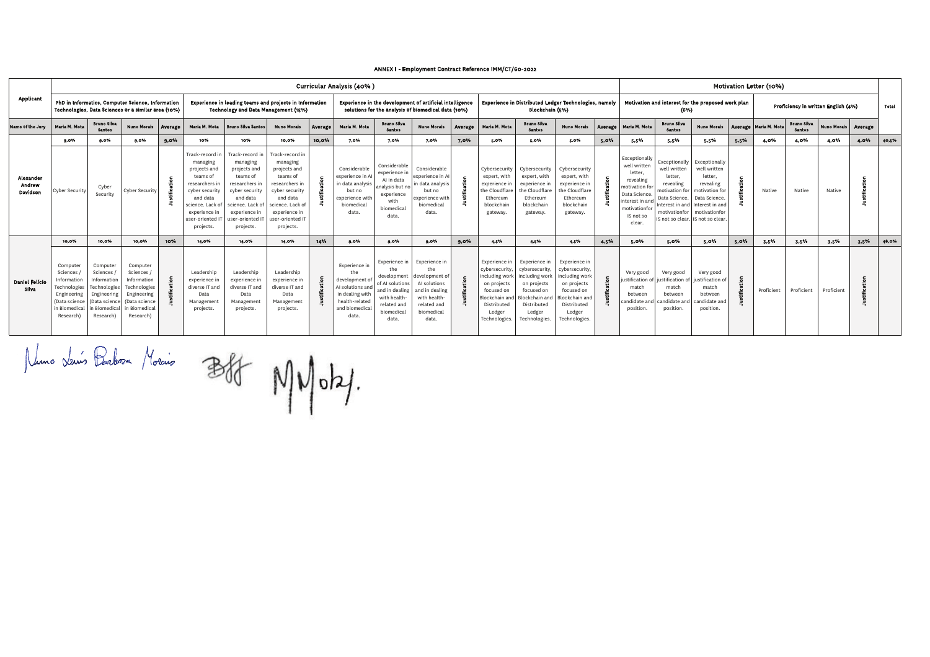| Applicant                       |                                                                                                                  | Curricular Analysis (40%)                                                                                       |                                                                                                                         |         |                                                                                                                                                                         |                                                                                                                                                                            |                                                                                                                                                                           |                                                                                                                 |                                                                                                                           |                                                                                                                               |                                                                                                                              |         |                                                                                                                                            |                                                                                                                                           |                                                                                                                                            | Motivation Letter (10%) |                                                                                                                                                  |                                                                                                                                                                  |                                                                                                                            |      |                         |                                     |                    |         |       |
|---------------------------------|------------------------------------------------------------------------------------------------------------------|-----------------------------------------------------------------------------------------------------------------|-------------------------------------------------------------------------------------------------------------------------|---------|-------------------------------------------------------------------------------------------------------------------------------------------------------------------------|----------------------------------------------------------------------------------------------------------------------------------------------------------------------------|---------------------------------------------------------------------------------------------------------------------------------------------------------------------------|-----------------------------------------------------------------------------------------------------------------|---------------------------------------------------------------------------------------------------------------------------|-------------------------------------------------------------------------------------------------------------------------------|------------------------------------------------------------------------------------------------------------------------------|---------|--------------------------------------------------------------------------------------------------------------------------------------------|-------------------------------------------------------------------------------------------------------------------------------------------|--------------------------------------------------------------------------------------------------------------------------------------------|-------------------------|--------------------------------------------------------------------------------------------------------------------------------------------------|------------------------------------------------------------------------------------------------------------------------------------------------------------------|----------------------------------------------------------------------------------------------------------------------------|------|-------------------------|-------------------------------------|--------------------|---------|-------|
|                                 |                                                                                                                  |                                                                                                                 | PhD in Informatics, Computer Science, Information<br>Technologies, Data Sciences or a similar area (10%)                |         | Experience in leading teams and projects in Information<br>Technology and Data Management (15%)                                                                         |                                                                                                                                                                            |                                                                                                                                                                           | Experience in the development of artificial intelligence<br>solutions for the analysis of biomedical data (10%) |                                                                                                                           |                                                                                                                               | Experience in Distributed Ledger Technologies, namely<br>Blockchain (5%)                                                     |         |                                                                                                                                            | Motivation and interest for the proposed work plan<br>(6%)                                                                                |                                                                                                                                            |                         |                                                                                                                                                  | Proficiency in written English (4%)                                                                                                                              |                                                                                                                            |      |                         | Total                               |                    |         |       |
| Name of the Jury                | <b>Maria M. Mota</b>                                                                                             | <b>Bruno Silva</b><br><b>Santos</b>                                                                             | <b>Nuno Morais</b>                                                                                                      | Average | Maria M. Mota                                                                                                                                                           | <b>Bruno Silva Santos</b>                                                                                                                                                  | <b>Nuno Morais</b>                                                                                                                                                        | Average                                                                                                         | Maria M. Mota                                                                                                             | <b>Bruno Silva</b><br><b>Santos</b>                                                                                           | <b>Nuno Morais</b>                                                                                                           | Average | Maria M. Mota                                                                                                                              | <b>Bruno Silva</b><br>Santos                                                                                                              | <b>Nuno Morais</b>                                                                                                                         | Average                 | Maria M. Mota                                                                                                                                    | <b>Bruno Silva</b><br><b>Santos</b>                                                                                                                              | <b>Nuno Morais</b>                                                                                                         |      | Average   Maria M. Mota | <b>Bruno Silva</b><br><b>Santos</b> | <b>Nuno Morais</b> | Average |       |
|                                 | 9.0%                                                                                                             | 9.0%                                                                                                            | 9.0%                                                                                                                    | 9.0%    | 10%                                                                                                                                                                     | 10%                                                                                                                                                                        | 10.0%                                                                                                                                                                     | 10.0%                                                                                                           | 7.0%                                                                                                                      | 7.0%                                                                                                                          | 7.0%                                                                                                                         | 7.0%    | 5.0%                                                                                                                                       | 5.0%                                                                                                                                      | 5.0%                                                                                                                                       | 5.0%                    | 5.5%                                                                                                                                             | 5.5%                                                                                                                                                             | 5.5%                                                                                                                       | 5,5% | 4.0%                    | 4.0%                                | 4.0%               | 4.0%    | 40,5% |
| Alexander<br>Andrew<br>Davidson | Cyber Security                                                                                                   | Cyber<br>Security                                                                                               | Cyber Security                                                                                                          |         | Track-record in<br>managing<br>projects and<br>teams of<br>researchers<br>cyber security<br>and data<br>science. Lack of<br>experience in<br>user-oriented<br>projects. | Track-record in<br>managing<br>projects and<br>teams of<br>researchers in<br>cyber security<br>and data<br>science, Lack of<br>experience in<br>user-oriented<br>projects. | Track-record in<br>managing<br>projects and<br>teams of<br>researchers in<br>cyber security<br>and data<br>science. Lack o<br>experience in<br>user-oriented<br>projects. |                                                                                                                 | Considerable<br>experience in A<br>in data analysis<br>but no<br>experience with<br>biomedical<br>data.                   | Considerable<br>experience in<br>Al in data<br>analysis but no<br>experience<br>with<br>biomedical<br>data.                   | Considerable<br>experience in Al<br>in data analysis<br>but no<br>experience with<br>biomedical<br>data.                     |         | Cybersecurity<br>expert, with<br>experience i<br>the Cloudflar<br>Ethereum<br>blockchain<br>gateway.                                       | Cybersecurity<br>expert, with<br>experience in<br>the Cloudflare<br>Ethereum<br>blockchain<br>gateway.                                    | Cybersecurity<br>expert, with<br>experience in<br>the Cloudflare<br>Ethereum<br>blockchain<br>gateway.                                     |                         | Exceptionally<br>well written<br>letter,<br>revealing<br>motivation fo<br>Data Science.<br>nterest in an<br>motivationfor<br>IS not so<br>clear. | Exceptionally<br>well written<br>letter.<br>revealing<br>motivation for<br>Data Science.<br>Interest in and<br>motivationfor<br>IS not so clear. IS not so clear | Exceptionally<br>well written<br>letter.<br>revealing<br>motivation fo<br>Data Science.<br>nterest in and<br>motivationfor |      | Native                  | Native                              | Native             |         |       |
|                                 | 10.0%                                                                                                            | 10.0%                                                                                                           | 10.0%                                                                                                                   | 10%     | 14.0%                                                                                                                                                                   | 14.0%                                                                                                                                                                      | 14.0%                                                                                                                                                                     | 14%                                                                                                             | 9.0%                                                                                                                      | 9.0%                                                                                                                          | 9.0%                                                                                                                         | 9,0%    | 4.5%                                                                                                                                       | 4.5%                                                                                                                                      | 4.5%                                                                                                                                       | 4.5%                    | 5.0%                                                                                                                                             | 5.0%                                                                                                                                                             | 5.0%                                                                                                                       | 5.0% | 3.5%                    | 3.5%                                | 3,5%               | 3.5%    | 46,0% |
| <b>Daniel Felício</b><br>Silva  | Computer<br>Sciences<br>Information<br>Technologies<br>Engineering<br>(Data science<br>in Biomedical<br>Research | Computer<br>Sciences<br>Information<br>Technologie<br>Engineering<br>(Data science<br>in Biomedica<br>Research) | Computer<br><b>Sciences</b><br>Information<br>Technologies<br>Engineering<br>(Data science<br>in Biomedica<br>Research) |         | Leadership<br>experience i<br>diverse IT and<br>Data<br>Management<br>projects.                                                                                         | Leadership<br>experience i<br>diverse IT and<br>Data<br>Management<br>projects.                                                                                            | Leadership<br>experience i<br>diverse IT and<br>Data<br>Management<br>projects.                                                                                           |                                                                                                                 | Experience in<br>the<br>development of<br>AI solutions and<br>in dealing with<br>health-related<br>and biomedica<br>data. | Experience in<br>the<br>development<br>of AI solution:<br>and in dealing<br>with health<br>related and<br>biomedical<br>data. | Experience in<br>the<br>development o<br>AI solutions<br>and in dealing<br>with health<br>related and<br>biomedical<br>data. |         | Experience i<br>cybersecurity<br>ncluding wo<br>on projects<br>focused on<br>Blockchain ar<br>Distributed<br>Ledger<br><b>Technologies</b> | Experience in<br>cybersecurity,<br>including work<br>on projects<br>focused on<br>Blockchain an<br>Distributed<br>Ledger<br>Technologies. | Experience in<br>cybersecurity,<br>including work<br>on projects<br>focused on<br>slockchain and<br>Distributed<br>Ledger<br>Technologies. |                         | Very good<br><b>stification</b><br>match<br>between<br>candidate an<br>position.                                                                 | Very good<br>ustification o<br>match<br>between<br>andidate ar<br>position.                                                                                      | Very good<br>stification o<br>match<br>between<br>andidate an<br>position.                                                 |      | Proficient              | Proficient                          | Proficient         |         |       |

Name dans Boches Morais Bld MMohy.